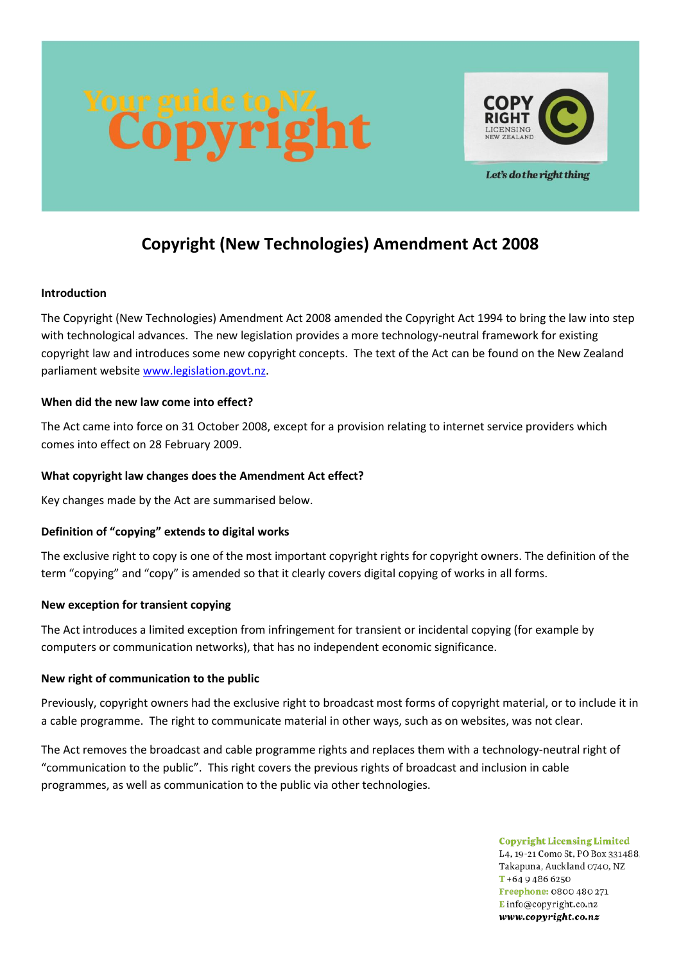



Let's do the right thing

# **Copyright (New Technologies) Amendment Act 2008**

#### **Introduction**

The Copyright (New Technologies) Amendment Act 2008 amended the Copyright Act 1994 to bring the law into step with technological advances. The new legislation provides a more technology-neutral framework for existing copyright law and introduces some new copyright concepts. The text of the Act can be found on the New Zealand parliament website [www.legislation.govt.nz.](http://www.legislation.govt.nz/)

#### **When did the new law come into effect?**

The Act came into force on 31 October 2008, except for a provision relating to internet service providers which comes into effect on 28 February 2009.

## **What copyright law changes does the Amendment Act effect?**

Key changes made by the Act are summarised below.

# **Definition of "copying" extends to digital works**

The exclusive right to copy is one of the most important copyright rights for copyright owners. The definition of the term "copying" and "copy" is amended so that it clearly covers digital copying of works in all forms.

#### **New exception for transient copying**

The Act introduces a limited exception from infringement for transient or incidental copying (for example by computers or communication networks), that has no independent economic significance.

#### **New right of communication to the public**

Previously, copyright owners had the exclusive right to broadcast most forms of copyright material, or to include it in a cable programme. The right to communicate material in other ways, such as on websites, was not clear.

The Act removes the broadcast and cable programme rights and replaces them with a technology-neutral right of "communication to the public". This right covers the previous rights of broadcast and inclusion in cable programmes, as well as communication to the public via other technologies.

> **Copyright Licensing Limited** L4, 19-21 Como St, PO Box 331488. Takapuna, Auckland 0740, NZ  $T + 6494866250$ Freephone: 0800 480 271 Einfo@copyright.co.nz www.copyright.co.nz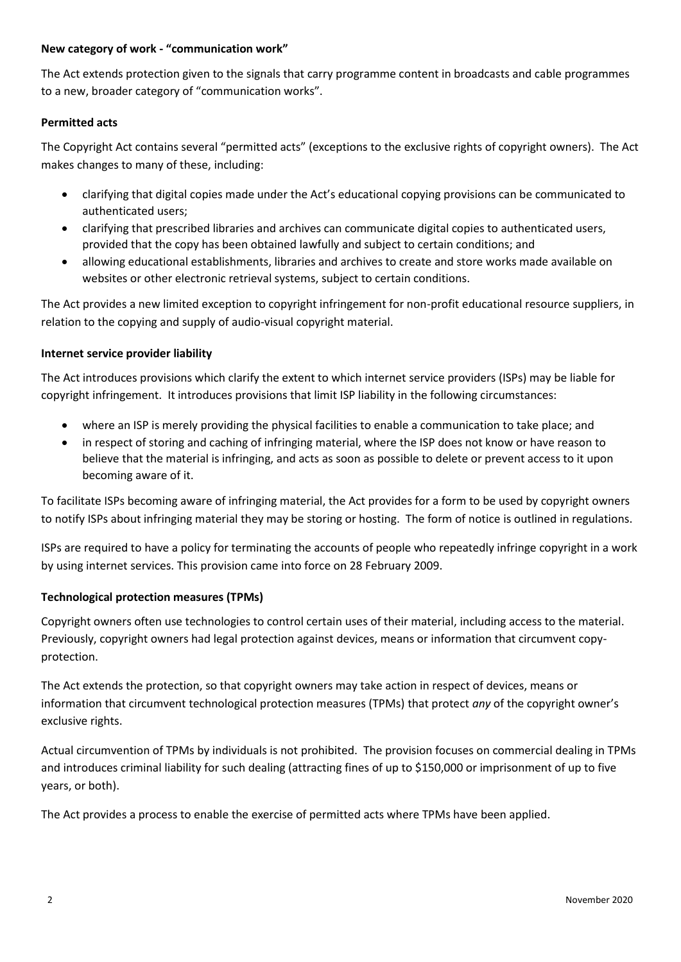#### **New category of work - "communication work"**

The Act extends protection given to the signals that carry programme content in broadcasts and cable programmes to a new, broader category of "communication works".

## **Permitted acts**

The Copyright Act contains several "permitted acts" (exceptions to the exclusive rights of copyright owners). The Act makes changes to many of these, including:

- clarifying that digital copies made under the Act's educational copying provisions can be communicated to authenticated users;
- clarifying that prescribed libraries and archives can communicate digital copies to authenticated users, provided that the copy has been obtained lawfully and subject to certain conditions; and
- allowing educational establishments, libraries and archives to create and store works made available on websites or other electronic retrieval systems, subject to certain conditions.

The Act provides a new limited exception to copyright infringement for non-profit educational resource suppliers, in relation to the copying and supply of audio-visual copyright material.

## **Internet service provider liability**

The Act introduces provisions which clarify the extent to which internet service providers (ISPs) may be liable for copyright infringement. It introduces provisions that limit ISP liability in the following circumstances:

- where an ISP is merely providing the physical facilities to enable a communication to take place; and
- in respect of storing and caching of infringing material, where the ISP does not know or have reason to believe that the material is infringing, and acts as soon as possible to delete or prevent access to it upon becoming aware of it.

To facilitate ISPs becoming aware of infringing material, the Act provides for a form to be used by copyright owners to notify ISPs about infringing material they may be storing or hosting. The form of notice is outlined in regulations.

ISPs are required to have a policy for terminating the accounts of people who repeatedly infringe copyright in a work by using internet services. This provision came into force on 28 February 2009.

# **Technological protection measures (TPMs)**

Copyright owners often use technologies to control certain uses of their material, including access to the material. Previously, copyright owners had legal protection against devices, means or information that circumvent copyprotection.

The Act extends the protection, so that copyright owners may take action in respect of devices, means or information that circumvent technological protection measures (TPMs) that protect *any* of the copyright owner's exclusive rights.

Actual circumvention of TPMs by individuals is not prohibited. The provision focuses on commercial dealing in TPMs and introduces criminal liability for such dealing (attracting fines of up to \$150,000 or imprisonment of up to five years, or both).

The Act provides a process to enable the exercise of permitted acts where TPMs have been applied.